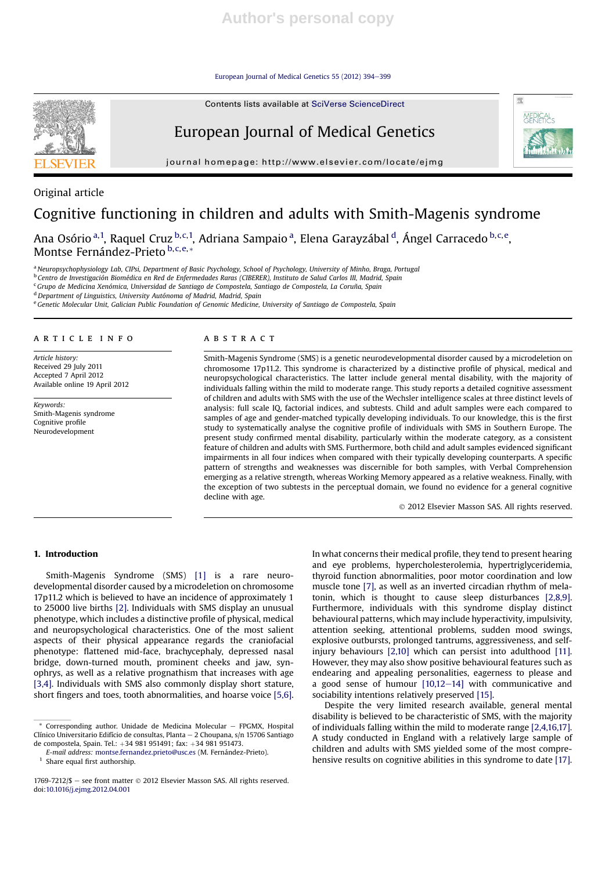European Journal of Medical Genetics 55 (2012) 394-399



European Journal of Medical Genetics



journal homepage: http://www.elsevier.com/locate/ejmg

Original article

# Cognitive functioning in children and adults with Smith-Magenis syndrome

Ana Osório <sup>a, 1</sup>, Raquel Cruz <sup>b, c, 1</sup>, Adriana Sampaio <sup>a</sup>, Elena Garayzábal <sup>d</sup>, Ángel Carracedo <sup>b, c, e</sup>, Montse Fernández-Prieto b,c,e,\*

a Neuropsychophysiology Lab, CIPsi, Department of Basic Psychology, School of Psychology, University of Minho, Braga, Portugal

<sup>b</sup> Centro de Investigación Biomédica en Red de Enfermedades Raras (CIBERER), Instituto de Salud Carlos III, Madrid, Spain

<sup>c</sup> Grupo de Medicina Xenómica, Universidad de Santiago de Compostela, Santiago de Compostela, La Coruña, Spain

<sup>d</sup> Department of Linguistics, University Autónoma of Madrid, Madrid, Spain

e Genetic Molecular Unit, Galician Public Foundation of Genomic Medicine, University of Santiago de Compostela, Spain

#### article info

Article history: Received 29 July 2011 Accepted 7 April 2012 Available online 19 April 2012

Keywords: Smith-Magenis syndrome Cognitive profile Neurodevelopment

#### **ABSTRACT**

Smith-Magenis Syndrome (SMS) is a genetic neurodevelopmental disorder caused by a microdeletion on chromosome 17p11.2. This syndrome is characterized by a distinctive profile of physical, medical and neuropsychological characteristics. The latter include general mental disability, with the majority of individuals falling within the mild to moderate range. This study reports a detailed cognitive assessment of children and adults with SMS with the use of the Wechsler intelligence scales at three distinct levels of analysis: full scale IQ, factorial indices, and subtests. Child and adult samples were each compared to samples of age and gender-matched typically developing individuals. To our knowledge, this is the first study to systematically analyse the cognitive profile of individuals with SMS in Southern Europe. The present study confirmed mental disability, particularly within the moderate category, as a consistent feature of children and adults with SMS. Furthermore, both child and adult samples evidenced significant impairments in all four indices when compared with their typically developing counterparts. A specific pattern of strengths and weaknesses was discernible for both samples, with Verbal Comprehension emerging as a relative strength, whereas Working Memory appeared as a relative weakness. Finally, with the exception of two subtests in the perceptual domain, we found no evidence for a general cognitive decline with age.

2012 Elsevier Masson SAS. All rights reserved.

# 1. Introduction

Smith-Magenis Syndrome (SMS) [1] is a rare neurodevelopmental disorder caused by a microdeletion on chromosome 17p11.2 which is believed to have an incidence of approximately 1 to 25000 live births [2]. Individuals with SMS display an unusual phenotype, which includes a distinctive profile of physical, medical and neuropsychological characteristics. One of the most salient aspects of their physical appearance regards the craniofacial phenotype: flattened mid-face, brachycephaly, depressed nasal bridge, down-turned mouth, prominent cheeks and jaw, synophrys, as well as a relative prognathism that increases with age [3,4]. Individuals with SMS also commonly display short stature, short fingers and toes, tooth abnormalities, and hoarse voice [5,6].

 $Corresponding$  author. Unidade de Medicina Molecular  $-$  FPGMX, Hospital Clínico Universitario Edifício de consultas, Planta  $-2$  Choupana, s/n 15706 Santiago de compostela, Spain. Tel.:  $+34$  981 951491; fax:  $+34$  981 951473.

E-mail address: montse.fernandez.prieto@usc.es (M. Fernández-Prieto).

<sup>1</sup> Share equal first authorship.

In what concerns their medical profile, they tend to present hearing and eye problems, hypercholesterolemia, hypertriglyceridemia, thyroid function abnormalities, poor motor coordination and low muscle tone [7], as well as an inverted circadian rhythm of melatonin, which is thought to cause sleep disturbances [2,8,9]. Furthermore, individuals with this syndrome display distinct behavioural patterns, which may include hyperactivity, impulsivity, attention seeking, attentional problems, sudden mood swings, explosive outbursts, prolonged tantrums, aggressiveness, and selfinjury behaviours [2,10] which can persist into adulthood [11]. However, they may also show positive behavioural features such as endearing and appealing personalities, eagerness to please and a good sense of humour  $[10,12-14]$  with communicative and sociability intentions relatively preserved [15].

Despite the very limited research available, general mental disability is believed to be characteristic of SMS, with the majority of individuals falling within the mild to moderate range [2,4,16,17]. A study conducted in England with a relatively large sample of children and adults with SMS yielded some of the most comprehensive results on cognitive abilities in this syndrome to date [17].

 $1769-7212/\$$  – see front matter  $\odot$  2012 Elsevier Masson SAS. All rights reserved. doi:10.1016/j.ejmg.2012.04.001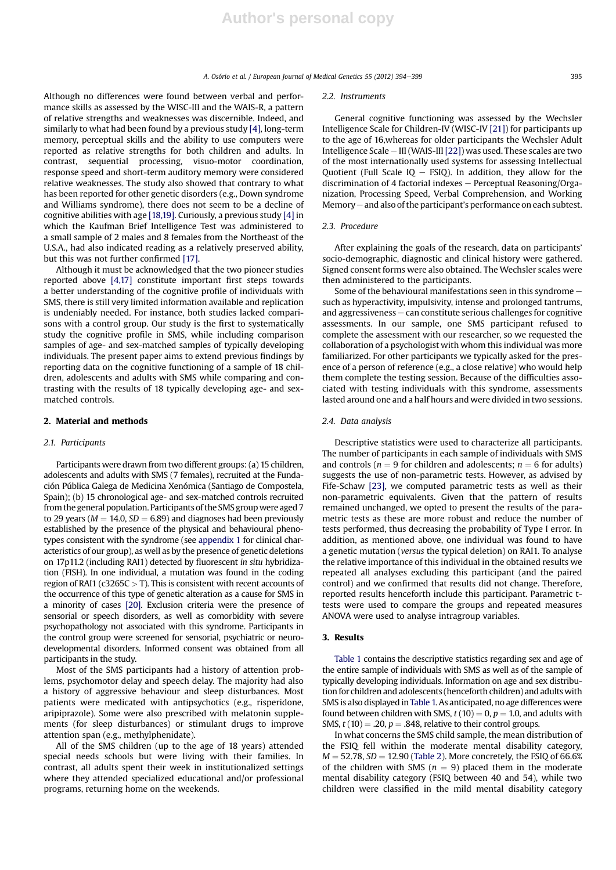A. Osório et al. / European Journal of Medical Genetics 55 (2012) 394–399

Although no differences were found between verbal and performance skills as assessed by the WISC-III and the WAIS-R, a pattern of relative strengths and weaknesses was discernible. Indeed, and similarly to what had been found by a previous study [4], long-term memory, perceptual skills and the ability to use computers were reported as relative strengths for both children and adults. In contrast, sequential processing, visuo-motor coordination, response speed and short-term auditory memory were considered relative weaknesses. The study also showed that contrary to what has been reported for other genetic disorders (e.g., Down syndrome and Williams syndrome), there does not seem to be a decline of cognitive abilities with age [18,19]. Curiously, a previous study [4] in which the Kaufman Brief Intelligence Test was administered to a small sample of 2 males and 8 females from the Northeast of the U.S.A., had also indicated reading as a relatively preserved ability, but this was not further confirmed [17].

Although it must be acknowledged that the two pioneer studies reported above [4,17] constitute important first steps towards a better understanding of the cognitive profile of individuals with SMS, there is still very limited information available and replication is undeniably needed. For instance, both studies lacked comparisons with a control group. Our study is the first to systematically study the cognitive profile in SMS, while including comparison samples of age- and sex-matched samples of typically developing individuals. The present paper aims to extend previous findings by reporting data on the cognitive functioning of a sample of 18 children, adolescents and adults with SMS while comparing and contrasting with the results of 18 typically developing age- and sexmatched controls.

#### 2. Material and methods

#### 2.1. Participants

Participants were drawn from two different groups: (a) 15 children, adolescents and adults with SMS (7 females), recruited at the Fundación Pública Galega de Medicina Xenómica (Santiago de Compostela, Spain); (b) 15 chronological age- and sex-matched controls recruited from the general population. Participants of the SMS group were aged 7 to 29 years ( $M = 14.0$ ,  $SD = 6.89$ ) and diagnoses had been previously established by the presence of the physical and behavioural phenotypes consistent with the syndrome (see appendix 1 for clinical characteristics of our group), as well as by the presence of genetic deletions on 17p11.2 (including RAI1) detected by fluorescent in situ hybridization (FISH). In one individual, a mutation was found in the coding region of RAI1 ( $c3265C > T$ ). This is consistent with recent accounts of the occurrence of this type of genetic alteration as a cause for SMS in a minority of cases [20]. Exclusion criteria were the presence of sensorial or speech disorders, as well as comorbidity with severe psychopathology not associated with this syndrome. Participants in the control group were screened for sensorial, psychiatric or neurodevelopmental disorders. Informed consent was obtained from all participants in the study.

Most of the SMS participants had a history of attention problems, psychomotor delay and speech delay. The majority had also a history of aggressive behaviour and sleep disturbances. Most patients were medicated with antipsychotics (e.g., risperidone, aripiprazole). Some were also prescribed with melatonin supplements (for sleep disturbances) or stimulant drugs to improve attention span (e.g., methylphenidate).

All of the SMS children (up to the age of 18 years) attended special needs schools but were living with their families. In contrast, all adults spent their week in institutionalized settings where they attended specialized educational and/or professional programs, returning home on the weekends.

#### 2.2. Instruments

General cognitive functioning was assessed by the Wechsler Intelligence Scale for Children-IV (WISC-IV [21]) for participants up to the age of 16,whereas for older participants the Wechsler Adult Intelligence Scale  $-$  III (WAIS-III [22]) was used. These scales are two of the most internationally used systems for assessing Intellectual Quotient (Full Scale  $IQ - FSIQ$ ). In addition, they allow for the discrimination of 4 factorial indexes  $-$  Perceptual Reasoning/Organization, Processing Speed, Verbal Comprehension, and Working Memory  $-$  and also of the participant's performance on each subtest.

#### 2.3. Procedure

After explaining the goals of the research, data on participants' socio-demographic, diagnostic and clinical history were gathered. Signed consent forms were also obtained. The Wechsler scales were then administered to the participants.

Some of the behavioural manifestations seen in this syndrome  $$ such as hyperactivity, impulsivity, intense and prolonged tantrums, and aggressiveness  $-$  can constitute serious challenges for cognitive assessments. In our sample, one SMS participant refused to complete the assessment with our researcher, so we requested the collaboration of a psychologist with whom this individual was more familiarized. For other participants we typically asked for the presence of a person of reference (e.g., a close relative) who would help them complete the testing session. Because of the difficulties associated with testing individuals with this syndrome, assessments lasted around one and a half hours and were divided in two sessions.

#### 2.4. Data analysis

Descriptive statistics were used to characterize all participants. The number of participants in each sample of individuals with SMS and controls ( $n = 9$  for children and adolescents;  $n = 6$  for adults) suggests the use of non-parametric tests. However, as advised by Fife-Schaw [23], we computed parametric tests as well as their non-parametric equivalents. Given that the pattern of results remained unchanged, we opted to present the results of the parametric tests as these are more robust and reduce the number of tests performed, thus decreasing the probability of Type I error. In addition, as mentioned above, one individual was found to have a genetic mutation (versus the typical deletion) on RAI1. To analyse the relative importance of this individual in the obtained results we repeated all analyses excluding this participant (and the paired control) and we confirmed that results did not change. Therefore, reported results henceforth include this participant. Parametric ttests were used to compare the groups and repeated measures ANOVA were used to analyse intragroup variables.

# 3. Results

Table 1 contains the descriptive statistics regarding sex and age of the entire sample of individuals with SMS as well as of the sample of typically developing individuals. Information on age and sex distribution for children and adolescents (henceforth children) and adults with SMS is also displayed inTable 1. As anticipated, no age differences were found between children with SMS,  $t(10) = 0$ ,  $p = 1.0$ , and adults with SMS,  $t(10) = .20$ ,  $p = .848$ , relative to their control groups.

In what concerns the SMS child sample, the mean distribution of the FSIQ fell within the moderate mental disability category,  $M = 52.78$ ,  $SD = 12.90$  (Table 2). More concretely, the FSIQ of 66.6% of the children with SMS ( $n = 9$ ) placed them in the moderate mental disability category (FSIQ between 40 and 54), while two children were classified in the mild mental disability category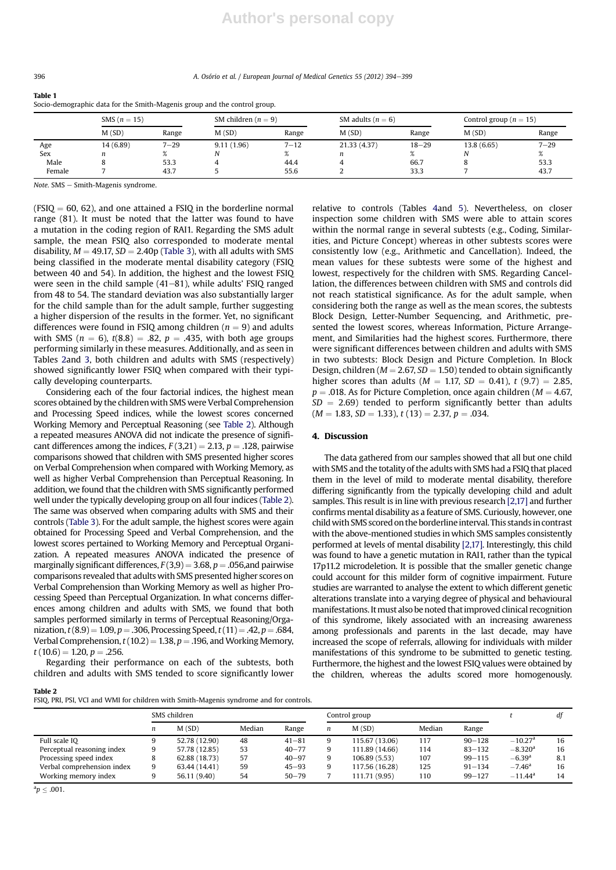396 396 A. Osório et al. / European Journal of Medical Genetics 55 (2012) 394–399

| Socio-demographic data for the Smith-Magenis group and the control group. |                |          |            |                         |              |                     |             |                            |  |
|---------------------------------------------------------------------------|----------------|----------|------------|-------------------------|--------------|---------------------|-------------|----------------------------|--|
|                                                                           | SMS $(n = 15)$ |          |            | SM children ( $n = 9$ ) |              | SM adults $(n = 6)$ |             | Control group ( $n = 15$ ) |  |
|                                                                           | M(SD)          | Range    | M(SD)      | Range                   | M(SD)        | Range               | M(SD)       | Range                      |  |
| Age                                                                       | 14 (6.89)      | $7 - 29$ | 9.11(1.96) | $7 - 12$                | 21.33 (4.37) | $18 - 29$           | 13.8 (6.65) | $7 - 29$                   |  |
| Sex                                                                       | n              |          |            |                         | n            | %                   | N           | $\%$                       |  |
| Male                                                                      |                | 53.3     |            | 44.4                    |              | 66.7                |             | 53.3                       |  |
| Female                                                                    |                | 43.7     |            | 55.6                    |              | 33.3                |             | 43.7                       |  |

 $Note. SMS - Smith-Magenis syndrome.$ 

 $(FSIQ = 60, 62)$ , and one attained a FSIQ in the borderline normal range (81). It must be noted that the latter was found to have a mutation in the coding region of RAI1. Regarding the SMS adult sample, the mean FSIQ also corresponded to moderate mental disability,  $M = 49.17$ ,  $SD = 2.40p$  (Table 3), with all adults with SMS being classified in the moderate mental disability category (FSIQ between 40 and 54). In addition, the highest and the lowest FSIQ were seen in the child sample  $(41–81)$ , while adults' FSIQ ranged from 48 to 54. The standard deviation was also substantially larger for the child sample than for the adult sample, further suggesting a higher dispersion of the results in the former. Yet, no significant differences were found in FSIQ among children ( $n = 9$ ) and adults with SMS ( $n = 6$ ),  $t(8.8) = .82$ ,  $p = .435$ , with both age groups performing similarly in these measures. Additionally, and as seen in Tables 2and 3, both children and adults with SMS (respectively) showed significantly lower FSIQ when compared with their typically developing counterparts.

Considering each of the four factorial indices, the highest mean scores obtained by the children with SMS were Verbal Comprehension and Processing Speed indices, while the lowest scores concerned Working Memory and Perceptual Reasoning (see Table 2). Although a repeated measures ANOVA did not indicate the presence of significant differences among the indices,  $F(3,21) = 2.13$ ,  $p = .128$ , pairwise comparisons showed that children with SMS presented higher scores on Verbal Comprehension when compared with Working Memory, as well as higher Verbal Comprehension than Perceptual Reasoning. In addition, we found that the children with SMS significantly performed well under the typically developing group on all four indices (Table 2). The same was observed when comparing adults with SMS and their controls (Table 3). For the adult sample, the highest scores were again obtained for Processing Speed and Verbal Comprehension, and the lowest scores pertained to Working Memory and Perceptual Organization. A repeated measures ANOVA indicated the presence of marginally significant differences,  $F(3,9) = 3.68$ ,  $p = .056$ , and pairwise comparisons revealed that adults with SMS presented higher scores on Verbal Comprehension than Working Memory as well as higher Processing Speed than Perceptual Organization. In what concerns differences among children and adults with SMS, we found that both samples performed similarly in terms of Perceptual Reasoning/Organization,  $t(8.9) = 1.09$ ,  $p = .306$ , Processing Speed,  $t(11) = .42$ ,  $p = .684$ , Verbal Comprehension,  $t(10.2) = 1.38$ ,  $p = .196$ , and Working Memory,  $t(10.6) = 1.20, p = .256.$ 

Regarding their performance on each of the subtests, both children and adults with SMS tended to score significantly lower

relative to controls (Tables 4and 5). Nevertheless, on closer inspection some children with SMS were able to attain scores within the normal range in several subtests (e.g., Coding, Similarities, and Picture Concept) whereas in other subtests scores were consistently low (e.g., Arithmetic and Cancellation). Indeed, the mean values for these subtests were some of the highest and lowest, respectively for the children with SMS. Regarding Cancellation, the differences between children with SMS and controls did not reach statistical significance. As for the adult sample, when considering both the range as well as the mean scores, the subtests Block Design, Letter-Number Sequencing, and Arithmetic, presented the lowest scores, whereas Information, Picture Arrangement, and Similarities had the highest scores. Furthermore, there were significant differences between children and adults with SMS in two subtests: Block Design and Picture Completion. In Block Design, children ( $M = 2.67$ ,  $SD = 1.50$ ) tended to obtain significantly higher scores than adults ( $M = 1.17$ ,  $SD = 0.41$ ),  $t$  (9.7) = 2.85,  $p = .018$ . As for Picture Completion, once again children ( $M = 4.67$ ,  $SD = 2.69$ ) tended to perform significantly better than adults  $(M = 1.83, SD = 1.33), t(13) = 2.37, p = .034.$ 

### 4. Discussion

The data gathered from our samples showed that all but one child with SMS and the totality of the adults with SMS had a FSIQ that placed them in the level of mild to moderate mental disability, therefore differing significantly from the typically developing child and adult samples. This result is in line with previous research [2,17] and further confirms mental disability as a feature of SMS. Curiously, however, one child with SMS scored on the borderline interval. This stands in contrast with the above-mentioned studies in which SMS samples consistently performed at levels of mental disability [2,17]. Interestingly, this child was found to have a genetic mutation in RAI1, rather than the typical 17p11.2 microdeletion. It is possible that the smaller genetic change could account for this milder form of cognitive impairment. Future studies are warranted to analyse the extent to which different genetic alterations translate into a varying degree of physical and behavioural manifestations. It must also be noted that improved clinical recognition of this syndrome, likely associated with an increasing awareness among professionals and parents in the last decade, may have increased the scope of referrals, allowing for individuals with milder manifestations of this syndrome to be submitted to genetic testing. Furthermore, the highest and the lowest FSIQ values were obtained by the children, whereas the adults scored more homogenously.

Table 2

FSIQ, PRI, PSI, VCI and WMI for children with Smith-Magenis syndrome and for controls.

|                            | SMS children |               |        |           |   | Control group  |        |            |                       | df  |
|----------------------------|--------------|---------------|--------|-----------|---|----------------|--------|------------|-----------------------|-----|
|                            | n            | M(SD)         | Median | Range     | n | M(SD)          | Median | Range      |                       |     |
| Full scale IO              |              | 52.78 (12.90) | 48     | $41 - 81$ |   | 115.67 (13.06) | 117    | $90 - 128$ | $-10.27$ <sup>a</sup> | 16  |
| Perceptual reasoning index | 9            | 57.78 (12.85) | 53     | $40 - 77$ |   | 111.89 (14.66) | 114    | $83 - 132$ | $-8.320$ <sup>a</sup> | 16  |
| Processing speed index     |              | 62.88 (18.73) | 57     | $40 - 97$ |   | 106.89 (5.53)  | 107    | $99 - 115$ | $-6.39$ <sup>a</sup>  | 8.1 |
| Verbal comprehension index | 9            | 63.44 (14.41) | 59     | $45 - 93$ |   | 117.56 (16.28) | 125    | $91 - 134$ | $-7.46$ <sup>a</sup>  | 16  |
| Working memory index       | 9            | 56.11 (9.40)  | 54     | $50 - 79$ |   | 111.71 (9.95)  | 110    | $99 - 127$ | $-11.44$ <sup>a</sup> | 14  |

 ${}^{\rm a}p\leq .001.$ 

Table 1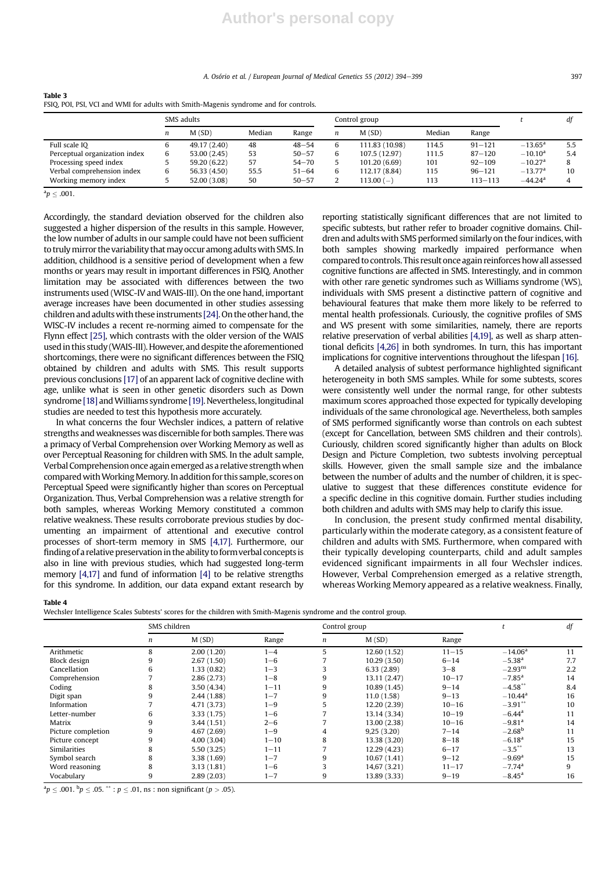A. Osório et al. / European Journal of Medical Genetics 55 (2012) 394-399

| Table 3                                                                              |  |
|--------------------------------------------------------------------------------------|--|
| FSIQ, POI, PSI, VCI and WMI for adults with Smith-Magenis syndrome and for controls. |  |
|                                                                                      |  |

|                               |   | SMS adults   |        |           |   | Control group  |        |            |                       | df      |
|-------------------------------|---|--------------|--------|-----------|---|----------------|--------|------------|-----------------------|---------|
|                               | n | M(SD)        | Median | Range     | n | M(SD)          | Median | Range      |                       |         |
| Full scale IO                 |   | 49.17 (2.40) | 48     | $48 - 54$ | 6 | 111.83 (10.98) | 114.5  | $91 - 121$ | $-13.65^{\rm a}$      | 5.5     |
| Perceptual organization index | 6 | 53.00 (2.45) | 53     | $50 - 57$ | 6 | 107.5 (12.97)  | 111.5  | $87 - 120$ | $-10.10$ <sup>a</sup> | 5.4     |
| Processing speed index        |   | 59.20 (6.22) | 57     | $54 - 70$ |   | 101.20 (6.69)  | 101    | $92 - 109$ | $-10.27$ <sup>a</sup> | $\circ$ |
| Verbal comprehension index    | b | 56.33 (4.50) | 55.5   | $51 - 64$ | 6 | 112.17 (8.84)  | 115    | $96 - 121$ | $-13.77$ <sup>a</sup> | 10      |
| Working memory index          |   | 52.00 (3.08) | 50     | $50 - 57$ |   | $113.00(-)$    | 113    | 113–113    | $-44.24$ <sup>a</sup> |         |

 ${}^{\mathrm{a}}p \leq .001$ .

Accordingly, the standard deviation observed for the children also suggested a higher dispersion of the results in this sample. However, the low number of adults in our sample could have not been sufficient to truly mirror the variability that may occur among adults with SMS. In addition, childhood is a sensitive period of development when a few months or years may result in important differences in FSIQ. Another limitation may be associated with differences between the two instruments used (WISC-IV and WAIS-III). On the one hand, important average increases have been documented in other studies assessing children and adults with these instruments [24]. On the other hand, the WISC-IV includes a recent re-norming aimed to compensate for the Flynn effect [25], which contrasts with the older version of the WAIS used in this study (WAIS-III). However, and despite the aforementioned shortcomings, there were no significant differences between the FSIQ obtained by children and adults with SMS. This result supports previous conclusions [17] of an apparent lack of cognitive decline with age, unlike what is seen in other genetic disorders such as Down syndrome [18] and Williams syndrome [19]. Nevertheless, longitudinal studies are needed to test this hypothesis more accurately.

In what concerns the four Wechsler indices, a pattern of relative strengths and weaknesses was discernible for both samples. There was a primacy of Verbal Comprehension over Working Memory as well as over Perceptual Reasoning for children with SMS. In the adult sample, Verbal Comprehension once again emerged as a relative strengthwhen comparedwithWorkingMemory. In addition for this sample, scores on Perceptual Speed were significantly higher than scores on Perceptual Organization. Thus, Verbal Comprehension was a relative strength for both samples, whereas Working Memory constituted a common relative weakness. These results corroborate previous studies by documenting an impairment of attentional and executive control processes of short-term memory in SMS [4,17]. Furthermore, our finding of a relative preservation in the ability to form verbal concepts is also in line with previous studies, which had suggested long-term memory [4,17] and fund of information [4] to be relative strengths for this syndrome. In addition, our data expand extant research by reporting statistically significant differences that are not limited to specific subtests, but rather refer to broader cognitive domains. Children and adults with SMS performed similarly on the four indices, with both samples showing markedly impaired performance when compared to controls. This result once again reinforces how all assessed cognitive functions are affected in SMS. Interestingly, and in common with other rare genetic syndromes such as Williams syndrome (WS), individuals with SMS present a distinctive pattern of cognitive and behavioural features that make them more likely to be referred to mental health professionals. Curiously, the cognitive profiles of SMS and WS present with some similarities, namely, there are reports relative preservation of verbal abilities [4,19], as well as sharp attentional deficits [4,26] in both syndromes. In turn, this has important implications for cognitive interventions throughout the lifespan [16].

A detailed analysis of subtest performance highlighted significant heterogeneity in both SMS samples. While for some subtests, scores were consistently well under the normal range, for other subtests maximum scores approached those expected for typically developing individuals of the same chronological age. Nevertheless, both samples of SMS performed significantly worse than controls on each subtest (except for Cancellation, between SMS children and their controls). Curiously, children scored significantly higher than adults on Block Design and Picture Completion, two subtests involving perceptual skills. However, given the small sample size and the imbalance between the number of adults and the number of children, it is speculative to suggest that these differences constitute evidence for a specific decline in this cognitive domain. Further studies including both children and adults with SMS may help to clarify this issue.

In conclusion, the present study confirmed mental disability, particularly within the moderate category, as a consistent feature of children and adults with SMS. Furthermore, when compared with their typically developing counterparts, child and adult samples evidenced significant impairments in all four Wechsler indices. However, Verbal Comprehension emerged as a relative strength, whereas Working Memory appeared as a relative weakness. Finally,

Table 4

Wechsler Intelligence Scales Subtests' scores for the children with Smith-Magenis syndrome and the control group.

|                    | SMS children |             |          | Control group |              |           | df                    |     |
|--------------------|--------------|-------------|----------|---------------|--------------|-----------|-----------------------|-----|
|                    | n            | M(SD)       | Range    | n             | M(SD)        | Range     |                       |     |
| Arithmetic         |              | 2.00(1.20)  | $1 - 4$  |               | 12.60 (1.52) | $11 - 15$ | $-14.06a$             | 11  |
| Block design       |              | 2.67(1.50)  | $1 - 6$  |               | 10.29(3.50)  | $6 - 14$  | $-5.38$ <sup>a</sup>  | 7.7 |
| Cancellation       | h            | 1.33(0.82)  | $1 - 3$  |               | 6.33(2.89)   | $3 - 8$   | $-2.93$ <sup>ns</sup> | 2.2 |
| Comprehension      |              | 2.86(2.73)  | $1 - 8$  |               | 13.11 (2.47) | $10 - 17$ | $-7.85$ <sup>a</sup>  | 14  |
| Coding             | 8            | 3.50(4.34)  | $1 - 11$ | 9             | 10.89 (1.45) | $9 - 14$  | $-4.58***$            | 8.4 |
| Digit span         |              | 2.44(1.88)  | $1 - 7$  |               | 11.0(1.58)   | $9 - 13$  | $-10.44$ <sup>a</sup> | 16  |
| Information        |              | 4.71 (3.73) | $1 - 9$  |               | 12.20 (2.39) | $10 - 16$ | $-3.91***$            | 10  |
| Letter-number      | 6            | 3.33 (1.75) | $1 - 6$  |               | 13.14 (3.34) | $10 - 19$ | $-6.44$ <sup>a</sup>  | 11  |
| Matrix             | 9            | 3.44(1.51)  | $2 - 6$  |               | 13.00 (2.38) | $10 - 16$ | $-9.81$ <sup>a</sup>  | 14  |
| Picture completion |              | 4.67(2.69)  | $1 - 9$  |               | 9,25(3,20)   | $7 - 14$  | $-2.68^{\rm b}$       | 11  |
| Picture concept    |              | 4.00(3.04)  | $1 - 10$ | 8             | 13.38 (3.20) | $8 - 18$  | $-6.18a$              | 15  |
| Similarities       |              | 5.50(3.25)  | $1 - 11$ |               | 12.29 (4.23) | $6 - 17$  | $-3.5***$             | 13  |
| Symbol search      |              | 3.38 (1.69) | $1 - 7$  |               | 10.67(1.41)  | $9 - 12$  | $-9.69$ <sup>a</sup>  | 15  |
| Word reasoning     |              | 3.13(1.81)  | $1 - 6$  |               | 14,67 (3.21) | $11 - 17$ | $-7.74$ <sup>a</sup>  | 9   |
| Vocabulary         |              | 2.89(2.03)  | $1 - 7$  |               | 13.89 (3.33) | $9 - 19$  | $-8.45$ <sup>a</sup>  | 16  |

 $a^{\rm a}p\leq$  .001.  $^{\rm b}p\leq$  .05.  $^{\rm \ast\ast}$  :  $p\leq$  .01, ns : non significant ( $p>$  .05).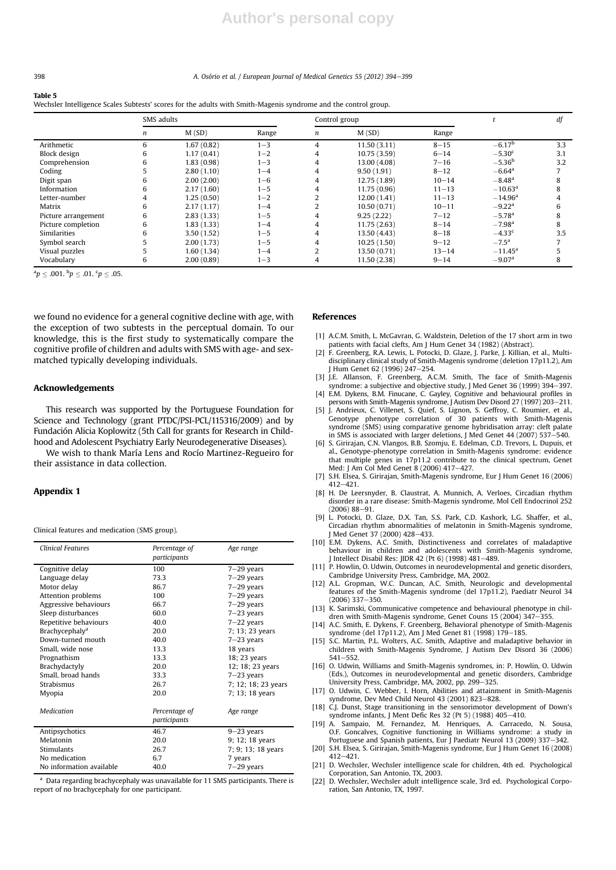#### 398 398 A. Osório et al. / European Journal of Medical Genetics 55 (2012) 394–399

# Table 5

Wechsler Intelligence Scales Subtests' scores for the adults with Smith-Magenis syndrome and the control group.

|                     | SMS adults |            |         | Control group  |              |           | df                    |     |
|---------------------|------------|------------|---------|----------------|--------------|-----------|-----------------------|-----|
|                     | n          | M(SD)      | Range   | n              | M(SD)        | Range     |                       |     |
| Arithmetic          | 6          | 1.67(0.82) | $1 - 3$ | 4              | 11.50(3.11)  | $8 - 15$  | $-6.17^{b}$           | 3.3 |
| Block design        | b          | 1.17(0.41) | $1 - 2$ | 4              | 10.75 (3.59) | $6 - 14$  | $-5.30c$              | 3.1 |
| Comprehension       | b          | 1.83(0.98) | $1 - 3$ | 4              | 13.00 (4.08) | $7 - 16$  | $-5.36b$              | 3.2 |
| Coding              |            | 2.80(1.10) | $1 - 4$ | 4              | 9.50(1.91)   | $8 - 12$  | $-6.64$ <sup>a</sup>  |     |
| Digit span          | b          | 2.00(2.00) | $1 - 6$ | 4              | 12.75 (1.89) | $10 - 14$ | $-8.48$ <sup>a</sup>  |     |
| Information         | h          | 2.17(1.60) | $1 - 5$ | 4              | 11.75 (0.96) | $11 - 13$ | $-10.63$ <sup>a</sup> |     |
| Letter-number       |            | 1.25(0.50) | $1 - 2$ |                | 12.00 (1.41) | $11 - 13$ | $-14.96$ <sup>a</sup> |     |
| Matrix              | b          | 2.17(1.17) | $1 - 4$ |                | 10.50(0.71)  | $10 - 11$ | $-9.22$ <sup>a</sup>  | h   |
| Picture arrangement |            | 2.83(1.33) | $1 - 5$ |                | 9.25(2.22)   | $7 - 12$  | $-5.78$ <sup>a</sup>  |     |
| Picture completion  |            | 1.83(1.33) | $1 - 4$ | 4              | 11.75 (2.63) | $8 - 14$  | $-7.98$ <sup>a</sup>  |     |
| Similarities        | h          | 3.50(1.52) | $1 - 5$ | 4              | 13.50 (4.43) | $8 - 18$  | $-4.33$ <sup>c</sup>  | 3.5 |
| Symbol search       |            | 2.00(1.73) | $1 - 5$ | 4              | 10.25(1.50)  | $9 - 12$  | $-7.5^{\rm a}$        |     |
| Visual puzzles      |            | 1.60(1.34) | $1 - 4$ | $\overline{2}$ | 13.50 (0.71) | $13 - 14$ | $-11.45$ <sup>a</sup> |     |
| Vocabulary          | 6          | 2.00(0.89) | $1 - 3$ | 4              | 11.50 (2.38) | $9 - 14$  | $-9.07a$              | 8   |

 ${}^{a}p \leq .001.$   ${}^{b}p \leq .01.$   ${}^{c}p \leq .05.$ 

we found no evidence for a general cognitive decline with age, with the exception of two subtests in the perceptual domain. To our knowledge, this is the first study to systematically compare the cognitive profile of children and adults with SMS with age- and sexmatched typically developing individuals.

# Acknowledgements

This research was supported by the Portuguese Foundation for Science and Technology (grant PTDC/PSI-PCL/115316/2009) and by Fundación Alicia Koplowitz (5th Call for grants for Research in Childhood and Adolescent Psychiatry Early Neurodegenerative Diseases).

We wish to thank María Lens and Rocío Martinez-Regueiro for their assistance in data collection.

# Appendix 1

Clinical features and medication (SMS group).

| <b>Clinical Features</b>         | Percentage of<br>participants | Age range           |
|----------------------------------|-------------------------------|---------------------|
| Cognitive delay                  | 100                           | $7 - 29$ years      |
| Language delay                   | 73.3                          | $7-29$ years        |
| Motor delay                      | 86.7                          | $7-29$ years        |
| Attention problems               | 100                           | $7 - 29$ years      |
| Aggressive behaviours            | 66.7                          | $7-29$ years        |
| Sleep disturbances               | 60.0                          | $7-23$ years        |
| Repetitive behaviours            | 40.0                          | $7-22$ years        |
| <b>Brachycephaly<sup>a</sup></b> | 20.0                          | 7; 13; 23 years     |
| Down-turned mouth                | 40.0                          | $7 - 23$ years      |
| Small, wide nose                 | 13.3                          | 18 years            |
| Prognathism                      | 13.3                          | 18; 23 years        |
| Brachydactyly                    | 20.0                          | 12; 18; 23 years    |
| Small, broad hands               | 33.3                          | $7-23$ years        |
| <b>Strabismus</b>                | 26.7                          | 7; 12; 18; 23 years |
| Myopia                           | 20.0                          | 7; 13; 18 years     |
| Medication                       | Percentage of<br>participants | Age range           |
| Antipsychotics                   | 46.7                          | $9 - 23$ years      |
| Melatonin                        | 20.0                          | 9; 12; 18 years     |
| <b>Stimulants</b>                | 26.7                          | 7; 9; 13; 18 years  |
| No medication                    | 6.7                           | 7 years             |
| No information available         | 40.0                          | $7-29$ years        |

<sup>a</sup> Data regarding brachycephaly was unavailable for 11 SMS participants. There is report of no brachycephaly for one participant.

#### References

- [1] A.C.M. Smith, L. McGavran, G. Waldstein, Deletion of the 17 short arm in two patients with facial clefts, Am J Hum Genet 34 (1982) (Abstract).
- [2] F. Greenberg, R.A. Lewis, L. Potocki, D. Glaze, J. Parke, J. Killian, et al., Multidisciplinary clinical study of Smith-Magenis syndrome (deletion 17p11.2), Am J Hum Genet 62 (1996) 247-254.
- [3] J.E. Allanson, F. Greenberg, A.C.M. Smith, The face of Smith-Magenis syndrome: a subjective and objective study, J Med Genet 36 (1999) 394-397.
- [4] E.M. Dykens, B.M. Finucane, C. Gayley, Cognitive and behavioural profiles in persons with Smith-Magenis syndrome, J Autism Dev Disord 27 (1997) 203-211.
- [5] J. Andrieux, C. Villenet, S. Quief, S. Lignon, S. Geffroy, C. Roumier, et al., Genotype phenotype correlation of 30 patients with Smith-Magenis syndrome (SMS) using comparative genome hybridisation array: cleft palate in SMS is associated with larger deletions, J Med Genet  $44$  (2007) 537-540.
- [6] S. Girirajan, C.N. Vlangos, B.B. Szomju, E. Edelman, C.D. Trevors, L. Dupuis, et al., Genotype-phenotype correlation in Smith-Magenis syndrome: evidence that multiple genes in 17p11.2 contribute to the clinical spectrum, Genet Med: J Am Col Med Genet 8 (2006) 417–427.
- [7] S.H. Elsea, S. Girirajan, Smith-Magenis syndrome, Eur J Hum Genet 16 (2006)  $412 - 421$ .
- [8] H. De Leersnyder, B. Claustrat, A. Munnich, A. Verloes, Circadian rhythm disorder in a rare disease: Smith-Magenis syndrome, Mol Cell Endocrinol 252  $(2006) 88 - 91$
- [9] L. Potocki, D. Glaze, D.X. Tan, S.S. Park, C.D. Kashork, L.G. Shaffer, et al., Circadian rhythm abnormalities of melatonin in Smith-Magenis syndrome, I Med Genet 37 (2000) 428-433.
- [10] E.M. Dykens, A.C. Smith, Distinctiveness and correlates of maladaptive behaviour in children and adolescents with Smith-Magenis syndrome, J Intellect Disabil Res: JIDR 42 (Pt 6) (1998) 481-489.
- [11] P. Howlin, O. Udwin, Outcomes in neurodevelopmental and genetic disorders, Cambridge University Press, Cambridge, MA, 2002.
- [12] A.L. Gropman, W.C. Duncan, A.C. Smith, Neurologic and developmental features of the Smith-Magenis syndrome (del 17p11.2), Paediatr Neurol 34  $(2006)$  337-350.
- [13] K. Sarimski, Communicative competence and behavioural phenotype in children with Smith-Magenis syndrome, Genet Couns 15 (2004) 347-355.
- [14] A.C. Smith, E. Dykens, F. Greenberg, Behavioral phenotype of Smith-Magenis syndrome (del 17p11.2), Am J Med Genet 81 (1998) 179e185. [15] S.C. Martin, P.L. Wolters, A.C. Smith, Adaptive and maladaptive behavior in
- children with Smith-Magenis Syndrome, J Autism Dev Disord 36 (2006)  $541 - 552.$
- [16] O. Udwin, Williams and Smith-Magenis syndromes, in: P. Howlin, O. Udwin (Eds.), Outcomes in neurodevelopmental and genetic disorders, Cambridge University Press, Cambridge, MA, 2002, pp. 299-325.
- [17] O. Udwin, C. Webber, I. Horn, Abilities and attainment in Smith-Magenis syndrome, Dev Med Child Neurol 43 (2001) 823–828.
- [18] C.J. Dunst, Stage transitioning in the sensorimotor development of Down's syndrome infants, J Ment Defic Res 32 (Pt 5) (1988) 405-410.
- [19] A. Sampaio, M. Fernandez, M. Henriques, A. Carracedo, N. Sousa, O.F. Goncalves, Cognitive functioning in Williams syndrome: a study in Portuguese and Spanish patients, Eur J Paediatr Neurol 13 (2009) 337-342.
- [20] S.H. Elsea, S. Girirajan, Smith-Magenis syndrome, Eur J Hum Genet 16 (2008)  $412 - 421$ .
- [21] D. Wechsler, Wechsler intelligence scale for children, 4th ed. Psychological Corporation, San Antonio, TX, 2003.
- [22] D. Wechsler, Wechsler adult intelligence scale, 3rd ed. Psychological Corporation, San Antonio, TX, 1997.